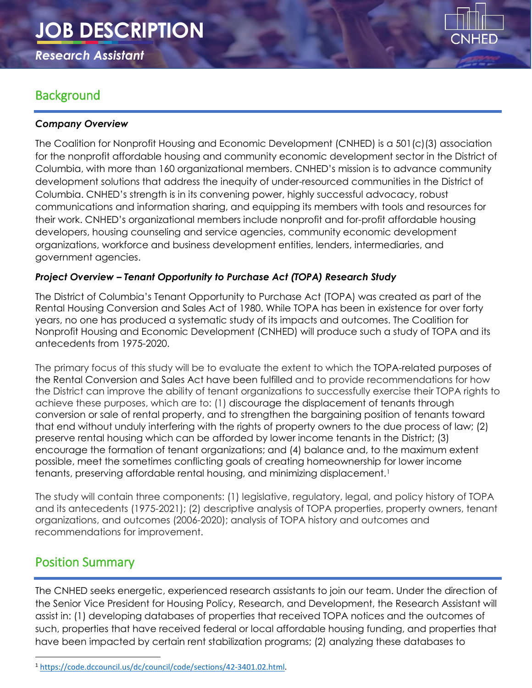# **JOB DESCRIPTION**

*Research Assistant*

# **Background**

#### *Company Overview*

The Coalition for Nonprofit Housing and Economic Development (CNHED) is a 501(c)(3) association for the nonprofit affordable housing and community economic development sector in the District of Columbia, with more than 160 organizational members. CNHED's mission is to advance community development solutions that address the inequity of under-resourced communities in the District of Columbia. CNHED's strength is in its convening power, highly successful advocacy, robust communications and information sharing, and equipping its members with tools and resources for their work. CNHED's organizational members include nonprofit and for-profit affordable housing developers, housing counseling and service agencies, community economic development organizations, workforce and business development entities, lenders, intermediaries, and government agencies.

#### *Project Overview – Tenant Opportunity to Purchase Act (TOPA) Research Study*

The District of Columbia's Tenant Opportunity to Purchase Act (TOPA) was created as part of the Rental Housing Conversion and Sales Act of 1980. While TOPA has been in existence for over forty years, no one has produced a systematic study of its impacts and outcomes. The Coalition for Nonprofit Housing and Economic Development (CNHED) will produce such a study of TOPA and its antecedents from 1975-2020.

The primary focus of this study will be to evaluate the extent to which the TOPA-related purposes of the Rental Conversion and Sales Act have been fulfilled and to provide recommendations for how the District can improve the ability of tenant organizations to successfully exercise their TOPA rights to achieve these purposes, which are to: (1) discourage the displacement of tenants through conversion or sale of rental property, and to strengthen the bargaining position of tenants toward that end without unduly interfering with the rights of property owners to the due process of law; (2) preserve rental housing which can be afforded by lower income tenants in the District; (3) encourage the formation of tenant organizations; and (4) balance and, to the maximum extent possible, meet the sometimes conflicting goals of creating homeownership for lower income tenants, preserving affordable rental housing, and minimizing displacement.<sup>[1](#page-0-0)</sup>

The study will contain three components: (1) legislative, regulatory, legal, and policy history of TOPA and its antecedents (1975-2021); (2) descriptive analysis of TOPA properties, property owners, tenant organizations, and outcomes (2006-2020); analysis of TOPA history and outcomes and recommendations for improvement.

# Position Summary

The CNHED seeks energetic, experienced research assistants to join our team. Under the direction of the Senior Vice President for Housing Policy, Research, and Development, the Research Assistant will assist in: (1) developing databases of properties that received TOPA notices and the outcomes of such, properties that have received federal or local affordable housing funding, and properties that have been impacted by certain rent stabilization programs; (2) analyzing these databases to

<span id="page-0-0"></span> <sup>1</sup> [https://code.dccouncil.us/dc/council/code/sections/42-3401.02.html.](https://code.dccouncil.us/dc/council/code/sections/42-3401.02.html)